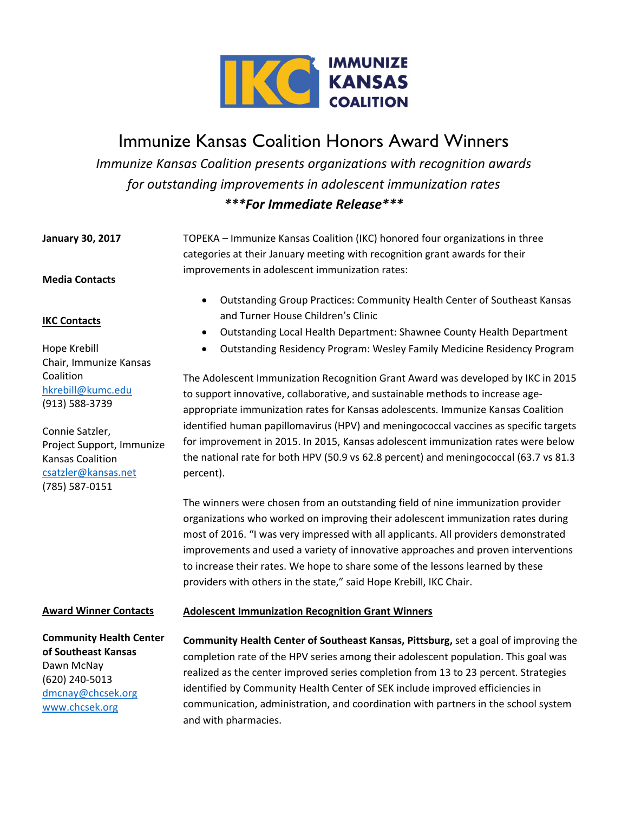

# Immunize Kansas Coalition Honors Award Winners

*Immunize Kansas Coalition presents organizations with recognition awards for outstanding improvements in adolescent immunization rates \*\*\*For Immediate Release\*\*\**

**January 30, 2017 Media Contacts**  TOPEKA – Immunize Kansas Coalition (IKC) honored four organizations in three categories at their January meeting with recognition grant awards for their improvements in adolescent immunization rates:

**IKC Contacts**

Hope Krebill

Coalition

Chair, Immunize Kansas

Project Support, Immunize

hkrebill@kumc.edu (913) 588‐3739

Connie Satzler,

Kansas Coalition csatzler@kansas.net (785) 587‐0151

- Outstanding Group Practices: Community Health Center of Southeast Kansas and Turner House Children's Clinic
- Outstanding Local Health Department: Shawnee County Health Department
- Outstanding Residency Program: Wesley Family Medicine Residency Program

The Adolescent Immunization Recognition Grant Award was developed by IKC in 2015 to support innovative, collaborative, and sustainable methods to increase age‐ appropriate immunization rates for Kansas adolescents. Immunize Kansas Coalition identified human papillomavirus (HPV) and meningococcal vaccines as specific targets for improvement in 2015. In 2015, Kansas adolescent immunization rates were below the national rate for both HPV (50.9 vs 62.8 percent) and meningococcal (63.7 vs 81.3 percent).

The winners were chosen from an outstanding field of nine immunization provider organizations who worked on improving their adolescent immunization rates during most of 2016. "I was very impressed with all applicants. All providers demonstrated improvements and used a variety of innovative approaches and proven interventions to increase their rates. We hope to share some of the lessons learned by these providers with others in the state," said Hope Krebill, IKC Chair.

### **Award Winner Contacts**

**Community Health Center of Southeast Kansas** Dawn McNay (620) 240‐5013 dmcnay@chcsek.org www.chcsek.org

## **Adolescent Immunization Recognition Grant Winners**

**Community Health Center of Southeast Kansas, Pittsburg,** set a goal of improving the completion rate of the HPV series among their adolescent population. This goal was realized as the center improved series completion from 13 to 23 percent. Strategies identified by Community Health Center of SEK include improved efficiencies in communication, administration, and coordination with partners in the school system and with pharmacies.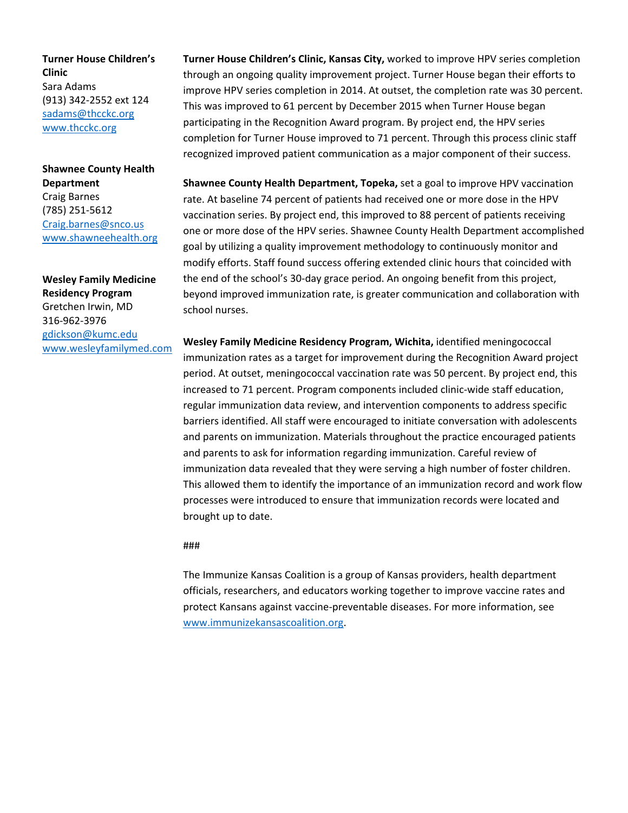**Turner House Children's Clinic** Sara Adams (913) 342‐2552 ext 124 sadams@thcckc.org www.thcckc.org

**Shawnee County Health Department** Craig Barnes (785) 251‐5612 Craig.barnes@snco.us www.shawneehealth.org

**Wesley Family Medicine Residency Program** Gretchen Irwin, MD 316‐962‐3976 gdickson@kumc.edu www.wesleyfamilymed.com **Turner House Children's Clinic, Kansas City,** worked to improve HPV series completion through an ongoing quality improvement project. Turner House began their efforts to improve HPV series completion in 2014. At outset, the completion rate was 30 percent. This was improved to 61 percent by December 2015 when Turner House began participating in the Recognition Award program. By project end, the HPV series completion for Turner House improved to 71 percent. Through this process clinic staff recognized improved patient communication as a major component of their success.

**Shawnee County Health Department, Topeka,** set a goal to improve HPV vaccination rate. At baseline 74 percent of patients had received one or more dose in the HPV vaccination series. By project end, this improved to 88 percent of patients receiving one or more dose of the HPV series. Shawnee County Health Department accomplished goal by utilizing a quality improvement methodology to continuously monitor and modify efforts. Staff found success offering extended clinic hours that coincided with the end of the school's 30‐day grace period. An ongoing benefit from this project, beyond improved immunization rate, is greater communication and collaboration with school nurses.

**Wesley Family Medicine Residency Program, Wichita,** identified meningococcal immunization rates as a target for improvement during the Recognition Award project period. At outset, meningococcal vaccination rate was 50 percent. By project end, this increased to 71 percent. Program components included clinic‐wide staff education, regular immunization data review, and intervention components to address specific barriers identified. All staff were encouraged to initiate conversation with adolescents and parents on immunization. Materials throughout the practice encouraged patients and parents to ask for information regarding immunization. Careful review of immunization data revealed that they were serving a high number of foster children. This allowed them to identify the importance of an immunization record and work flow processes were introduced to ensure that immunization records were located and brought up to date.

#### ###

The Immunize Kansas Coalition is a group of Kansas providers, health department officials, researchers, and educators working together to improve vaccine rates and protect Kansans against vaccine‐preventable diseases. For more information, see www.immunizekansascoalition.org.